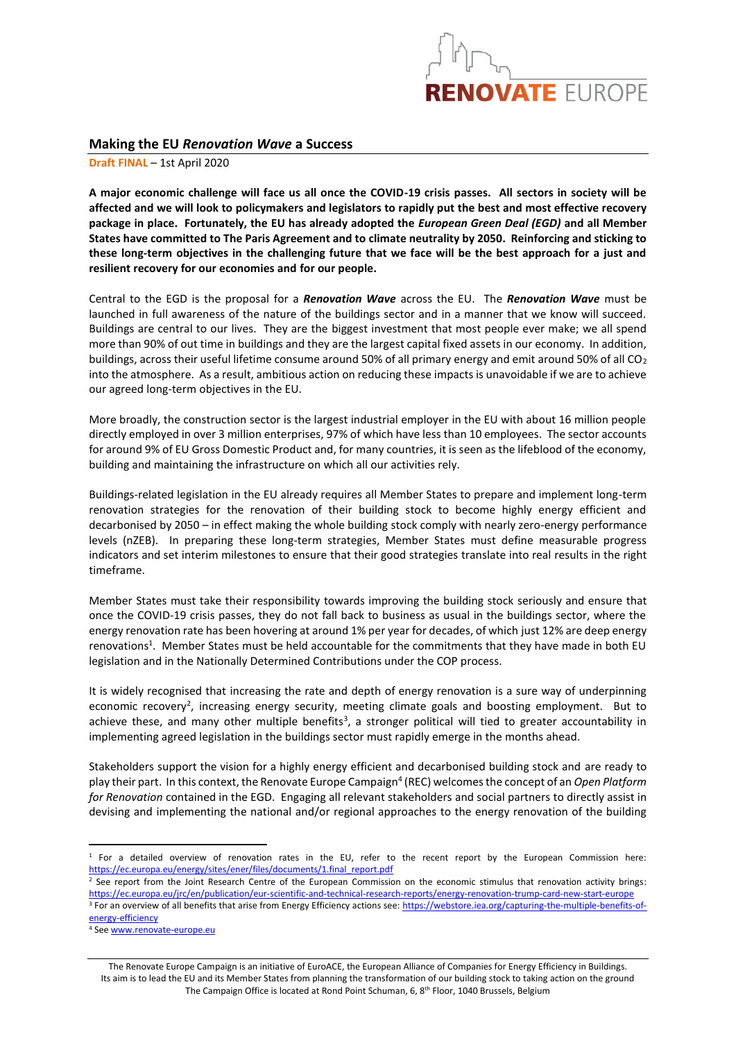

## **Making the EU** *Renovation Wave* **a Success**

**Draft FINAL** – 1st April 2020

**A major economic challenge will face us all once the COVID-19 crisis passes. All sectors in society will be affected and we will look to policymakers and legislators to rapidly put the best and most effective recovery package in place. Fortunately, the EU has already adopted the** *European Green Deal (EGD)* **and all Member States have committed to The Paris Agreement and to climate neutrality by 2050. Reinforcing and sticking to these long-term objectives in the challenging future that we face will be the best approach for a just and resilient recovery for our economies and for our people.**

Central to the EGD is the proposal for a *Renovation Wave* across the EU. The *Renovation Wave* must be launched in full awareness of the nature of the buildings sector and in a manner that we know will succeed. Buildings are central to our lives. They are the biggest investment that most people ever make; we all spend more than 90% of out time in buildings and they are the largest capital fixed assets in our economy. In addition, buildings, across their useful lifetime consume around 50% of all primary energy and emit around 50% of all  $CO<sub>2</sub>$ into the atmosphere. As a result, ambitious action on reducing these impacts is unavoidable if we are to achieve our agreed long-term objectives in the EU.

More broadly, the construction sector is the largest industrial employer in the EU with about 16 million people directly employed in over 3 million enterprises, 97% of which have less than 10 employees. The sector accounts for around 9% of EU Gross Domestic Product and, for many countries, it is seen as the lifeblood of the economy, building and maintaining the infrastructure on which all our activities rely.

Buildings-related legislation in the EU already requires all Member States to prepare and implement long-term renovation strategies for the renovation of their building stock to become highly energy efficient and decarbonised by 2050 – in effect making the whole building stock comply with nearly zero-energy performance levels (nZEB). In preparing these long-term strategies, Member States must define measurable progress indicators and set interim milestones to ensure that their good strategies translate into real results in the right timeframe.

Member States must take their responsibility towards improving the building stock seriously and ensure that once the COVID-19 crisis passes, they do not fall back to business as usual in the buildings sector, where the energy renovation rate has been hovering at around 1% per year for decades, of which just 12% are deep energy renovations<sup>1</sup>. Member States must be held accountable for the commitments that they have made in both EU legislation and in the Nationally Determined Contributions under the COP process.

It is widely recognised that increasing the rate and depth of energy renovation is a sure way of underpinning economic recovery<sup>2</sup>, increasing energy security, meeting climate goals and boosting employment. But to achieve these, and many other multiple benefits<sup>3</sup>, a stronger political will tied to greater accountability in implementing agreed legislation in the buildings sector must rapidly emerge in the months ahead.

Stakeholders support the vision for a highly energy efficient and decarbonised building stock and are ready to play their part. In this context, the Renovate Europe Campaign<sup>4</sup> (REC) welcomes the concept of an *Open Platform for Renovation* contained in the EGD. Engaging all relevant stakeholders and social partners to directly assist in devising and implementing the national and/or regional approaches to the energy renovation of the building

<sup>2</sup> See report from the Joint Research Centre of the European Commission on the economic stimulus that renovation activity brings: <https://ec.europa.eu/jrc/en/publication/eur-scientific-and-technical-research-reports/energy-renovation-trump-card-new-start-europe> <sup>3</sup> For an overview of all benefits that arise from Energy Efficiency actions see: [https://webstore.iea.org/capturing-the-multiple-benefits-of](https://webstore.iea.org/capturing-the-multiple-benefits-of-energy-efficiency)[energy-efficiency](https://webstore.iea.org/capturing-the-multiple-benefits-of-energy-efficiency)

<sup>4</sup> Se[e www.renovate-europe.eu](http://www.renovate-europe.eu/)

The Renovate Europe Campaign is an initiative of EuroACE, the European Alliance of Companies for Energy Efficiency in Buildings. Its aim is to lead the EU and its Member States from planning the transformation of our building stock to taking action on the ground The Campaign Office is located at Rond Point Schuman, 6, 8<sup>th</sup> Floor, 1040 Brussels, Belgium

 $1$  For a detailed overview of renovation rates in the EU, refer to the recent report by the European Commission here: [https://ec.europa.eu/energy/sites/ener/files/documents/1.final\\_report.pdf](https://ec.europa.eu/energy/sites/ener/files/documents/1.final_report.pdf)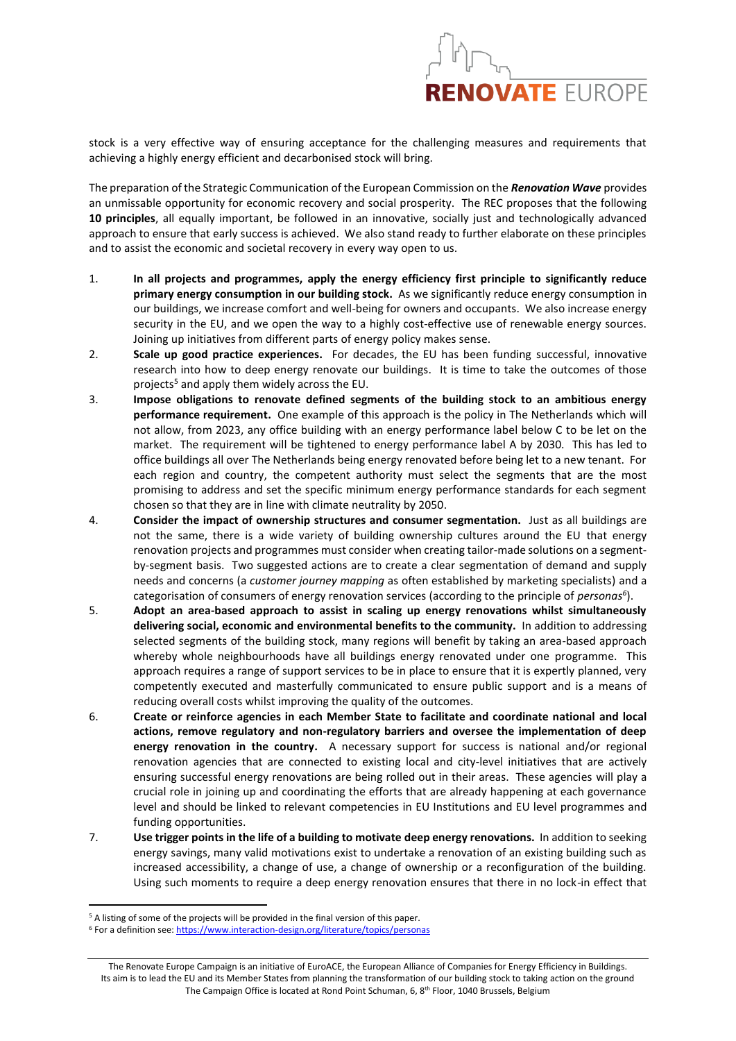

stock is a very effective way of ensuring acceptance for the challenging measures and requirements that achieving a highly energy efficient and decarbonised stock will bring.

The preparation of the Strategic Communication of the European Commission on the *Renovation Wave* provides an unmissable opportunity for economic recovery and social prosperity. The REC proposes that the following **10 principles**, all equally important, be followed in an innovative, socially just and technologically advanced approach to ensure that early success is achieved. We also stand ready to further elaborate on these principles and to assist the economic and societal recovery in every way open to us.

- 1. **In all projects and programmes, apply the energy efficiency first principle to significantly reduce primary energy consumption in our building stock.** As we significantly reduce energy consumption in our buildings, we increase comfort and well-being for owners and occupants. We also increase energy security in the EU, and we open the way to a highly cost-effective use of renewable energy sources. Joining up initiatives from different parts of energy policy makes sense.
- 2. **Scale up good practice experiences.** For decades, the EU has been funding successful, innovative research into how to deep energy renovate our buildings. It is time to take the outcomes of those projects<sup>5</sup> and apply them widely across the EU.
- 3. **Impose obligations to renovate defined segments of the building stock to an ambitious energy performance requirement.** One example of this approach is the policy in The Netherlands which will not allow, from 2023, any office building with an energy performance label below C to be let on the market. The requirement will be tightened to energy performance label A by 2030. This has led to office buildings all over The Netherlands being energy renovated before being let to a new tenant. For each region and country, the competent authority must select the segments that are the most promising to address and set the specific minimum energy performance standards for each segment chosen so that they are in line with climate neutrality by 2050.
- 4. **Consider the impact of ownership structures and consumer segmentation.** Just as all buildings are not the same, there is a wide variety of building ownership cultures around the EU that energy renovation projects and programmes must consider when creating tailor-made solutions on a segmentby-segment basis. Two suggested actions are to create a clear segmentation of demand and supply needs and concerns (a *customer journey mapping* as often established by marketing specialists) and a categorisation of consumers of energy renovation services (according to the principle of *personas<sup>6</sup>* ).
- 5. **Adopt an area-based approach to assist in scaling up energy renovations whilst simultaneously delivering social, economic and environmental benefits to the community.** In addition to addressing selected segments of the building stock, many regions will benefit by taking an area-based approach whereby whole neighbourhoods have all buildings energy renovated under one programme. This approach requires a range of support services to be in place to ensure that it is expertly planned, very competently executed and masterfully communicated to ensure public support and is a means of reducing overall costs whilst improving the quality of the outcomes.
- 6. **Create or reinforce agencies in each Member State to facilitate and coordinate national and local actions, remove regulatory and non-regulatory barriers and oversee the implementation of deep energy renovation in the country.** A necessary support for success is national and/or regional renovation agencies that are connected to existing local and city-level initiatives that are actively ensuring successful energy renovations are being rolled out in their areas. These agencies will play a crucial role in joining up and coordinating the efforts that are already happening at each governance level and should be linked to relevant competencies in EU Institutions and EU level programmes and funding opportunities.
- 7. **Use trigger points in the life of a building to motivate deep energy renovations.** In addition to seeking energy savings, many valid motivations exist to undertake a renovation of an existing building such as increased accessibility, a change of use, a change of ownership or a reconfiguration of the building. Using such moments to require a deep energy renovation ensures that there in no lock-in effect that

<sup>&</sup>lt;sup>5</sup> A listing of some of the projects will be provided in the final version of this paper.

<sup>&</sup>lt;sup>6</sup> For a definition see:<https://www.interaction-design.org/literature/topics/personas>

The Renovate Europe Campaign is an initiative of EuroACE, the European Alliance of Companies for Energy Efficiency in Buildings. Its aim is to lead the EU and its Member States from planning the transformation of our building stock to taking action on the ground The Campaign Office is located at Rond Point Schuman, 6, 8<sup>th</sup> Floor, 1040 Brussels, Belgium